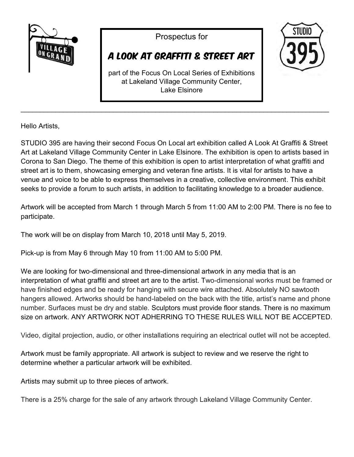

Prospectus for

## A Look At Graffiti & Street Art

**STIININ** 

part of the Focus On Local Series of Exhibitions at Lakeland Village Community Center, Lake Elsinore

\_\_\_\_\_\_\_\_\_\_\_\_\_\_\_\_\_\_\_\_\_\_\_\_\_\_\_\_\_\_\_\_\_\_\_\_\_\_\_\_\_\_\_\_\_\_\_\_\_\_\_\_\_\_\_\_\_\_\_\_\_\_\_\_\_\_\_\_\_\_\_\_\_\_\_\_\_\_\_\_

Hello Artists,

STUDIO 395 are having their second Focus On Local art exhibition called A Look At Graffiti & Street Art at Lakeland Village Community Center in Lake Elsinore. The exhibition is open to artists based in Corona to San Diego. The theme of this exhibition is open to artist interpretation of what graffiti and street art is to them, showcasing emerging and veteran fine artists. It is vital for artists to have a venue and voice to be able to express themselves in a creative, collective environment. This exhibit seeks to provide a forum to such artists, in addition to facilitating knowledge to a broader audience.

Artwork will be accepted from March 1 through March 5 from 11:00 AM to 2:00 PM. There is no fee to participate.

The work will be on display from March 10, 2018 until May 5, 2019.

Pick-up is from May 6 through May 10 from 11:00 AM to 5:00 PM.

We are looking for two-dimensional and three-dimensional artwork in any media that is an interpretation of what graffiti and street art are to the artist. Two-dimensional works must be framed or have finished edges and be ready for hanging with secure wire attached. Absolutely NO sawtooth hangers allowed. Artworks should be hand-labeled on the back with the title, artist's name and phone number. Surfaces must be dry and stable. Sculptors must provide floor stands. There is no maximum size on artwork. ANY ARTWORK NOT ADHERRING TO THESE RULES WILL NOT BE ACCEPTED.

Video, digital projection, audio, or other installations requiring an electrical outlet will not be accepted.

Artwork must be family appropriate. All artwork is subject to review and we reserve the right to determine whether a particular artwork will be exhibited.

Artists may submit up to three pieces of artwork.

There is a 25% charge for the sale of any artwork through Lakeland Village Community Center.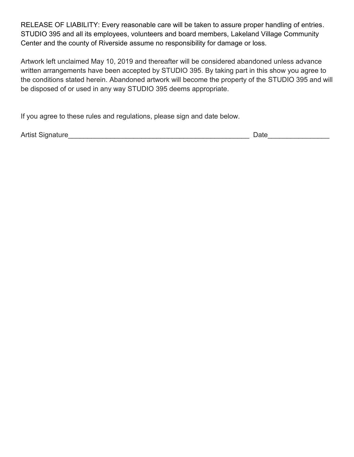RELEASE OF LIABILITY: Every reasonable care will be taken to assure proper handling of entries. STUDIO 395 and all its employees, volunteers and board members, Lakeland Village Community Center and the county of Riverside assume no responsibility for damage or loss.

Artwork left unclaimed May 10, 2019 and thereafter will be considered abandoned unless advance written arrangements have been accepted by STUDIO 395. By taking part in this show you agree to the conditions stated herein. Abandoned artwork will become the property of the STUDIO 395 and will be disposed of or used in any way STUDIO 395 deems appropriate.

If you agree to these rules and regulations, please sign and date below.

Artist Signature\_\_\_\_\_\_\_\_\_\_\_\_\_\_\_\_\_\_\_\_\_\_\_\_\_\_\_\_\_\_\_\_\_\_\_\_\_\_\_\_\_\_\_\_\_\_\_ Date\_\_\_\_\_\_\_\_\_\_\_\_\_\_\_\_